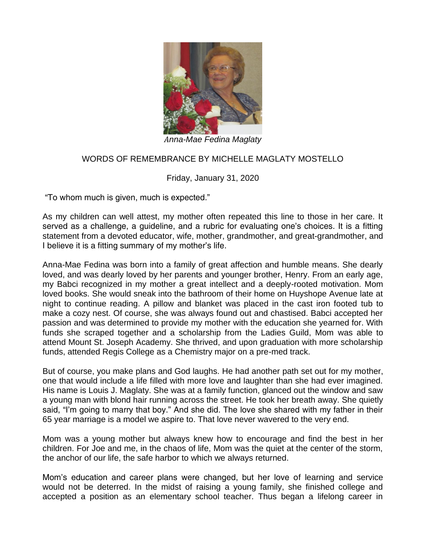

*Anna-Mae Fedina Maglaty*

## WORDS OF REMEMBRANCE BY MICHELLE MAGLATY MOSTELLO

## Friday, January 31, 2020

"To whom much is given, much is expected."

As my children can well attest, my mother often repeated this line to those in her care. It served as a challenge, a guideline, and a rubric for evaluating one's choices. It is a fitting statement from a devoted educator, wife, mother, grandmother, and great-grandmother, and I believe it is a fitting summary of my mother's life.

Anna-Mae Fedina was born into a family of great affection and humble means. She dearly loved, and was dearly loved by her parents and younger brother, Henry. From an early age, my Babci recognized in my mother a great intellect and a deeply-rooted motivation. Mom loved books. She would sneak into the bathroom of their home on Huyshope Avenue late at night to continue reading. A pillow and blanket was placed in the cast iron footed tub to make a cozy nest. Of course, she was always found out and chastised. Babci accepted her passion and was determined to provide my mother with the education she yearned for. With funds she scraped together and a scholarship from the Ladies Guild, Mom was able to attend Mount St. Joseph Academy. She thrived, and upon graduation with more scholarship funds, attended Regis College as a Chemistry major on a pre-med track.

But of course, you make plans and God laughs. He had another path set out for my mother, one that would include a life filled with more love and laughter than she had ever imagined. His name is Louis J. Maglaty. She was at a family function, glanced out the window and saw a young man with blond hair running across the street. He took her breath away. She quietly said, "I'm going to marry that boy." And she did. The love she shared with my father in their 65 year marriage is a model we aspire to. That love never wavered to the very end.

Mom was a young mother but always knew how to encourage and find the best in her children. For Joe and me, in the chaos of life, Mom was the quiet at the center of the storm, the anchor of our life, the safe harbor to which we always returned.

Mom's education and career plans were changed, but her love of learning and service would not be deterred. In the midst of raising a young family, she finished college and accepted a position as an elementary school teacher. Thus began a lifelong career in